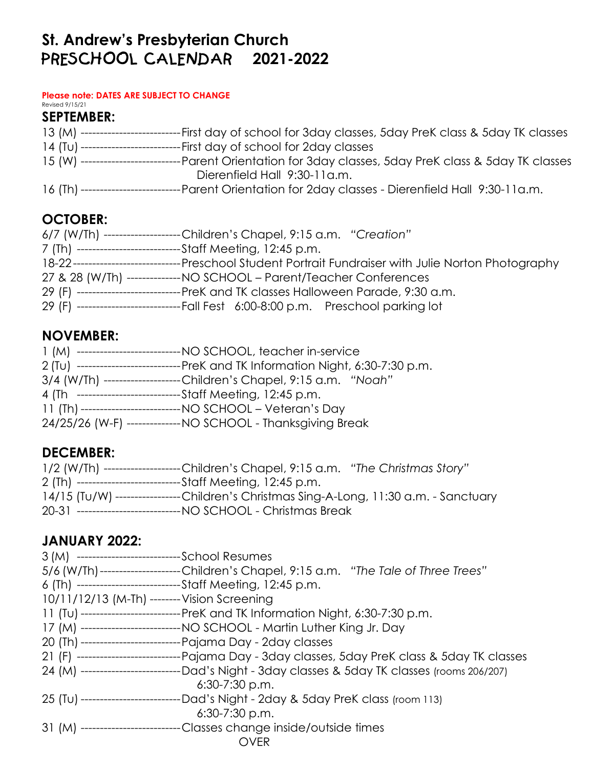# St. Andrew's Presbyterian Church<br>**PRESCHOOL CALENDAR** 2021- **2021-2022**

#### **Please note: DATES ARE SUBJECT TO CHANGE** Revised 9/15/21

#### **SEPTEMBER:**

| ----First day of school for 3day classes, 5day PreK class & 5day TK classes<br>13 (M) ---------------------  |
|--------------------------------------------------------------------------------------------------------------|
| 14 (Tu) ----------------------------First day of school for 2day classes                                     |
| 15 (W) ---------------------<br>------Parent Orientation for 3day classes, 5day PreK class & 5day TK classes |
| Dierenfield Hall 9:30-11a.m.                                                                                 |
| --Parent Orientation for 2day classes - Dierenfield Hall 9:30-11a.m.<br>16 (Th) ---------------------        |

### **OCTOBER:**

| 6/7 (W/Th) -------------------Children's Chapel, 9:15 a.m. "Creation"              |
|------------------------------------------------------------------------------------|
| 7 (Th) ---------------------------Staff Meeting, 12:45 p.m.                        |
|                                                                                    |
| 27 & 28 (W/Th) --------------NO SCHOOL - Parent/Teacher Conferences                |
| 29 (F) ----------------------------PreK and TK classes Halloween Parade, 9:30 a.m. |
| 29 (F) ----------------------------Fall Fest 6:00-8:00 p.m. Preschool parking lot  |

#### **NOVEMBER:**

| 1 (M) ---------------------------- NO SCHOOL, teacher in-service                |
|---------------------------------------------------------------------------------|
| 2 (Tu) ---------------------------PreK and TK Information Night, 6:30-7:30 p.m. |
| 3/4 (W/Th) -------------------Children's Chapel, 9:15 a.m. "Noah"               |
| 4 (Th ----------------------------Staff Meeting, 12:45 p.m.                     |
|                                                                                 |
| 24/25/26 (W-F) --------------- NO SCHOOL - Thanksgiving Break                   |

### **DECEMBER:**

| 1/2 (W/Th) ------------------Children's Chapel, 9:15 a.m. "The Christmas Story"       |
|---------------------------------------------------------------------------------------|
| 2 (Th) ----------------------------Staff Meeting, 12:45 p.m.                          |
| 14/15 (Tu/W) ----------------Children's Christmas Sing-A-Long, 11:30 a.m. - Sanctuary |
| 20-31 ---------------------------- NO SCHOOL - Christmas Break                        |

### **JANUARY 2022:**

| 3 (M) ---------------------------School Resumes |                                                                                                  |
|-------------------------------------------------|--------------------------------------------------------------------------------------------------|
|                                                 | 5/6 (W/Th)--------------------Children's Chapel, 9:15 a.m. "The Tale of Three Trees"             |
|                                                 | 6 (Th) ----------------------------Staff Meeting, 12:45 p.m.                                     |
| 10/11/12/13 (M-Th) -------- Vision Screening    |                                                                                                  |
|                                                 | 11 (Tu) ---------------------------PreK and TK Information Night, 6:30-7:30 p.m.                 |
|                                                 | 17 (M) --------------------------- NO SCHOOL - Martin Luther King Jr. Day                        |
|                                                 | 20 (Th) ---------------------------- Pajama Day - 2day classes                                   |
|                                                 | 21 (F) -----------------------------Pajama Day - 3day classes, 5day PreK class & 5day TK classes |
|                                                 | 24 (M) ---------------------------Dad's Night - 3day classes & 5day TK classes (rooms 206/207)   |
|                                                 | $6:30-7:30$ p.m.                                                                                 |
|                                                 | 25 (Tu) ---------------------------Dad's Night - 2day & 5day PreK class (room 113)               |
|                                                 | $6:30-7:30$ p.m.                                                                                 |
|                                                 | 31 (M) --------------------------Classes change inside/outside times                             |
|                                                 | OVER                                                                                             |